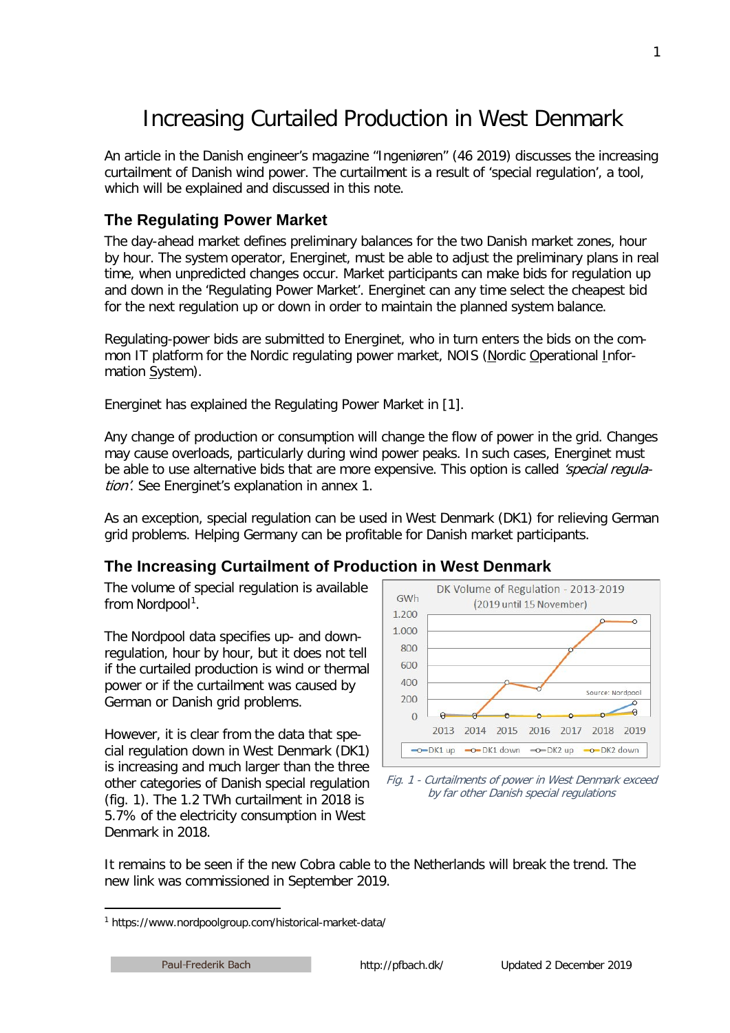# Increasing Curtailed Production in West Denmark

An article in the Danish engineer's magazine "Ingeniøren" (46 2019) discusses the increasing curtailment of Danish wind power. The curtailment is a result of 'special regulation', a tool, which will be explained and discussed in this note.

# **The Regulating Power Market**

The day-ahead market defines preliminary balances for the two Danish market zones, hour by hour. The system operator, Energinet, must be able to adjust the preliminary plans in real time, when unpredicted changes occur. Market participants can make bids for regulation up and down in the 'Regulating Power Market'. Energinet can any time select the cheapest bid for the next regulation up or down in order to maintain the planned system balance.

Regulating-power bids are submitted to Energinet, who in turn enters the bids on the common IT platform for the Nordic regulating power market, NOIS (Nordic Operational Information System).

Energinet has explained the Regulating Power Market in [1].

Any change of production or consumption will change the flow of power in the grid. Changes may cause overloads, particularly during wind power peaks. In such cases, Energinet must be able to use alternative bids that are more expensive. This option is called 'special regulation'. See Energinet's explanation in annex 1.

As an exception, special regulation can be used in West Denmark (DK1) for relieving German grid problems. Helping Germany can be profitable for Danish market participants.

## **The Increasing Curtailment of Production in West Denmark**

The volume of special regulation is available from Nordpool<sup>[1](#page-0-0)</sup>.

The Nordpool data specifies up- and downregulation, hour by hour, but it does not tell if the curtailed production is wind or thermal power or if the curtailment was caused by German or Danish grid problems.

However, it is clear from the data that special regulation down in West Denmark (DK1) is increasing and much larger than the three other categories of Danish special regulation (fig. 1). The 1.2 TWh curtailment in 2018 is 5.7% of the electricity consumption in West Denmark in 2018.



Fig. 1 - Curtailments of power in West Denmark exceed by far other Danish special regulations

It remains to be seen if the new Cobra cable to the Netherlands will break the trend. The new link was commissioned in September 2019.

<span id="page-0-0"></span> <sup>1</sup> https://www.nordpoolgroup.com/historical-market-data/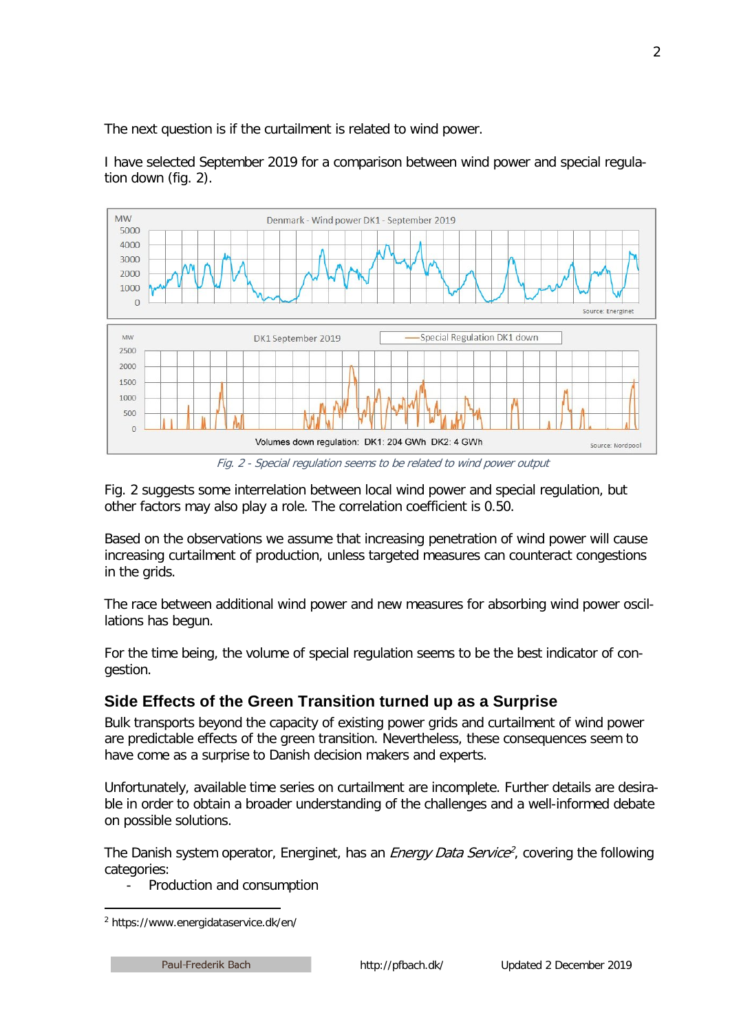The next question is if the curtailment is related to wind power.

I have selected September 2019 for a comparison between wind power and special regulation down (fig. 2).



Fig. 2 - Special regulation seems to be related to wind power output

Fig. 2 suggests some interrelation between local wind power and special regulation, but other factors may also play a role. The correlation coefficient is 0.50.

Based on the observations we assume that increasing penetration of wind power will cause increasing curtailment of production, unless targeted measures can counteract congestions in the grids.

The race between additional wind power and new measures for absorbing wind power oscillations has begun.

For the time being, the volume of special regulation seems to be the best indicator of congestion.

# **Side Effects of the Green Transition turned up as a Surprise**

Bulk transports beyond the capacity of existing power grids and curtailment of wind power are predictable effects of the green transition. Nevertheless, these consequences seem to have come as a surprise to Danish decision makers and experts.

Unfortunately, available time series on curtailment are incomplete. Further details are desirable in order to obtain a broader understanding of the challenges and a well-informed debate on possible solutions.

The Danish system operator, Energinet, has an *Energy Data Service*<sup>[2](#page-1-0)</sup>, covering the following categories:

- Production and consumption

<span id="page-1-0"></span> <sup>2</sup> https://www.energidataservice.dk/en/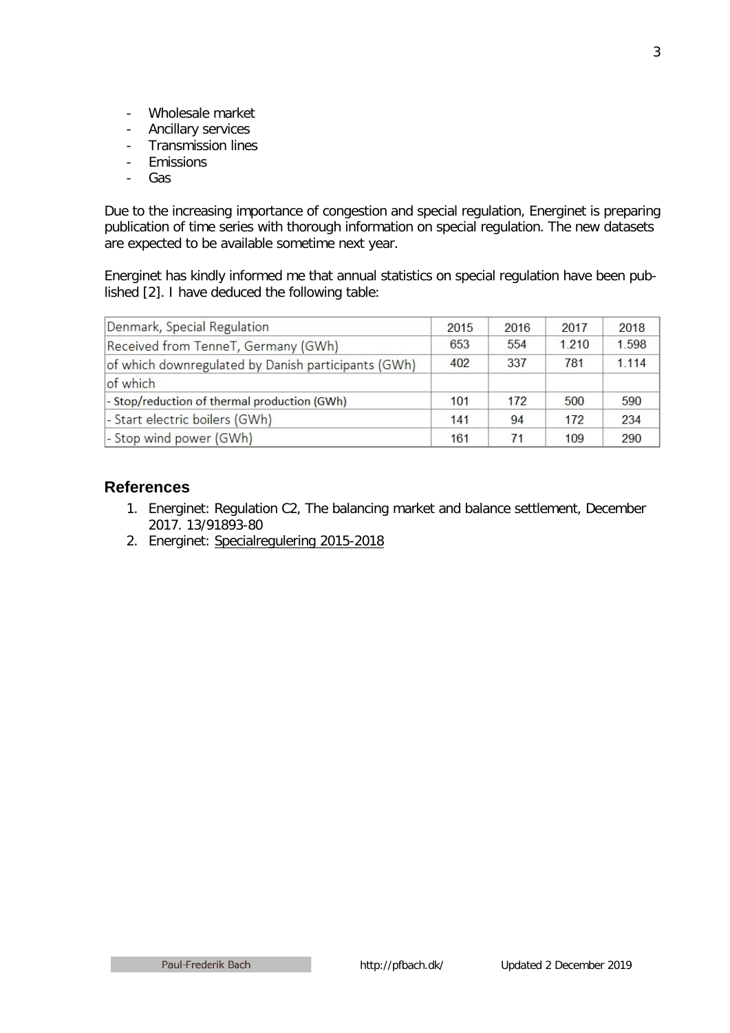- Wholesale market
- Ancillary services<br>- Transmission lines
- Transmission lines
- Emissions
- Gas

Due to the increasing importance of congestion and special regulation, Energinet is preparing publication of time series with thorough information on special regulation. The new datasets are expected to be available sometime next year.

Energinet has kindly informed me that annual statistics on special regulation have been published [2]. I have deduced the following table:

| Denmark, Special Regulation                         | 2015 | 2016 | 2017  | 2018    |
|-----------------------------------------------------|------|------|-------|---------|
| Received from TenneT, Germany (GWh)                 | 653  | 554  | 1.210 | 1.598   |
| of which downregulated by Danish participants (GWh) | 402  | 337  | 781   | 1 1 1 4 |
| of which                                            |      |      |       |         |
| - Stop/reduction of thermal production (GWh)        | 101  | 172  | 500   | 590     |
| - Start electric boilers (GWh)                      | 141  | 94   | 172   | 234     |
| - Stop wind power (GWh)                             | 161  | 71   | 109   | 290     |

## **References**

- 1. Energinet: Regulation C2, The balancing market and balance settlement, December 2017. 13/91893-80
- 2. Energinet: [Specialregulering 2015-2018](http://pfbach.dk/firma_pfb/references/energinet_specialregulering_2015_18.pdf)